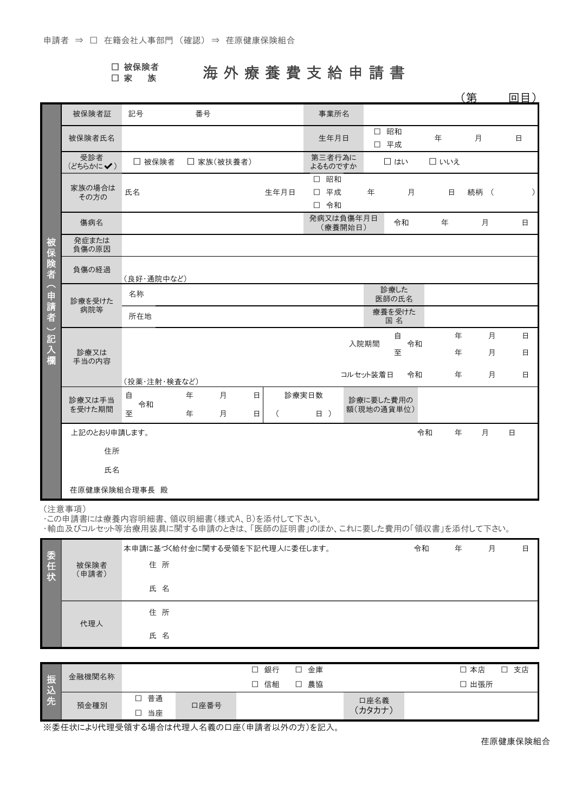|  | □ 被保険者 |
|--|--------|
|  |        |

## □ <sup>被保険者</sup> 海 外 療 養 費 支 給 申 請 書

|                               |                 |              |    |            |   |          |                   |          |      |               |         | 笛    | 回目)    |
|-------------------------------|-----------------|--------------|----|------------|---|----------|-------------------|----------|------|---------------|---------|------|--------|
|                               | 被保険者証           | 記号           | 番号 |            |   |          | 事業所名              |          |      |               |         |      |        |
|                               | 被保険者氏名          |              |    |            |   |          | 生年月日              |          |      | □ 昭和<br>□ 平成  | 年       | 月    | 日      |
|                               | 受診者<br>(どちらかに√) | □ 被保険者       |    | □ 家族(被扶養者) |   |          | 第三者行為に<br>よるものですか |          |      | □ はい          | □いいえ    |      |        |
|                               |                 |              |    |            |   |          | □ 昭和              |          |      |               |         |      |        |
|                               | 家族の場合は<br>その方の  | 氏名           |    |            |   | 生年月日     | 平成<br>$\Box$      |          | 年    | 月             | $\Box$  | 続柄 ( | ⟩      |
|                               |                 |              |    |            |   |          | □ 令和              |          |      |               |         |      |        |
|                               | 傷病名             |              |    |            |   |          | 発病又は負傷年月日         | (療養開始日)  |      | 令和            | 年       | 月    | 日      |
| 被                             | 発症または<br>負傷の原因  |              |    |            |   |          |                   |          |      |               |         |      |        |
| 保険者                           | 負傷の経過           | (良好・通院中など)   |    |            |   |          |                   |          |      |               |         |      |        |
| (申請者                          | 診療を受けた          | 名称           |    |            |   |          |                   |          |      | 診療した<br>医師の氏名 |         |      |        |
|                               | 病院等             | 所在地          |    |            |   |          |                   |          |      | 療養を受けた<br>国名  |         |      |        |
| $\overline{\phantom{0}}$<br>記 |                 |              |    |            |   |          |                   |          |      | 自             | 年       | 月    | $\Box$ |
| 入                             | 診療又は            |              |    |            |   |          |                   |          | 入院期間 | 令和<br>至       | 年       | 月    | $\Box$ |
| 欄                             | 手当の内容           |              |    |            |   |          |                   |          |      |               |         |      |        |
|                               |                 | (投薬・注射・検査など) |    |            |   |          |                   | コルセット装着日 |      | 令和            | 年       | 月    | 日      |
|                               | 診療又は手当          | 自            | 年  | 月          | 日 |          | 診療実日数             |          |      | 診療に要した費用の     |         |      |        |
|                               | を受けた期間          | 令和<br>至      | 年  | 月          | 日 | $\left($ | 日 )               |          |      | 額(現地の通貨単位)    |         |      |        |
|                               | 上記のとおり申請します。    |              |    |            |   |          |                   |          |      |               | 令和<br>年 | 月    | $\Box$ |
|                               | 住所              |              |    |            |   |          |                   |          |      |               |         |      |        |
|                               | 氏名              |              |    |            |   |          |                   |          |      |               |         |      |        |
|                               | 荏原健康保険組合理事長 殿   |              |    |            |   |          |                   |          |      |               |         |      |        |

(注意事項)

・この申請書には療養内容明細書、領収明細書(様式A、B)を添付して下さい。

・輸血及びコルセット等治療用装具に関する申請のときは、「医師の証明書」のほか、これに要した費用の「領収書」を添付して下さい。

|         |               | 本申請に基づく給付金に関する受領を下記代理人に委任します。 | 令和 | 年 | 月 | 日 |
|---------|---------------|-------------------------------|----|---|---|---|
| 委任<br>状 | 被保険者<br>(申請者) | 住所                            |    |   |   |   |
|         |               | 氏 名                           |    |   |   |   |
|         | 代理人           | 住所                            |    |   |   |   |
|         |               | 氏名                            |    |   |   |   |

|                | 金融機関名称 |    |      | 銀行<br>┑ | 金庫<br>┍ |        | П<br>-<br>支店<br>本店 |
|----------------|--------|----|------|---------|---------|--------|--------------------|
| 振<br>Æ         |        |    |      | 信組      | 農協<br>┍ |        | 出張所<br>⊐           |
| <u>ν.</u><br>先 | 預金種別   | 普通 |      |         |         | 口座名義   |                    |
|                |        | 当座 | 口座番号 |         |         | (カタカナ) |                    |

※委任状により代理受領する場合は代理人名義の口座(申請者以外の方)を記入。